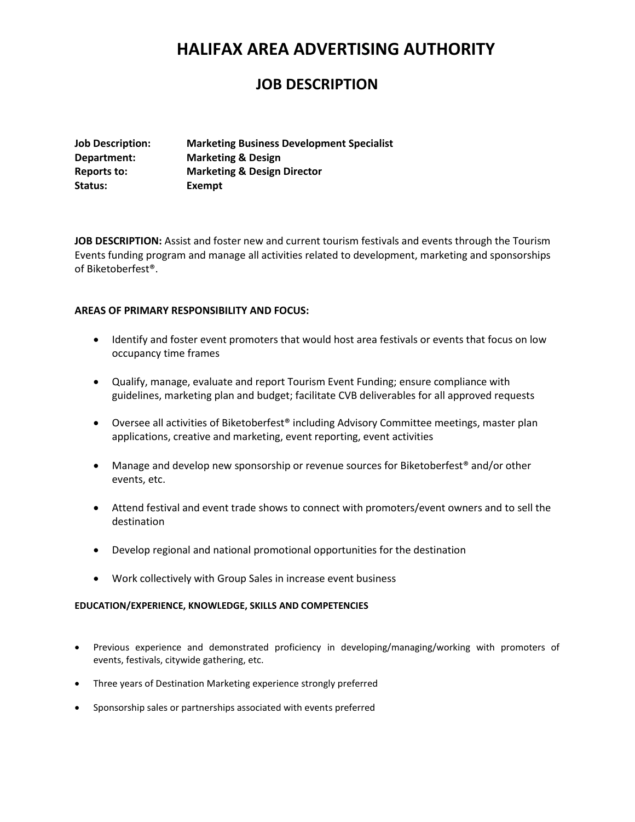## **HALIFAX AREA ADVERTISING AUTHORITY**

### **JOB DESCRIPTION**

| <b>Job Description:</b> | <b>Marketing Business Development Specialist</b> |
|-------------------------|--------------------------------------------------|
| Department:             | <b>Marketing &amp; Design</b>                    |
| Reports to:             | <b>Marketing &amp; Design Director</b>           |
| Status:                 | Exempt                                           |

**JOB DESCRIPTION:** Assist and foster new and current tourism festivals and events through the Tourism Events funding program and manage all activities related to development, marketing and sponsorships of Biketoberfest®.

### **AREAS OF PRIMARY RESPONSIBILITY AND FOCUS:**

- Identify and foster event promoters that would host area festivals or events that focus on low occupancy time frames
- Qualify, manage, evaluate and report Tourism Event Funding; ensure compliance with guidelines, marketing plan and budget; facilitate CVB deliverables for all approved requests
- Oversee all activities of Biketoberfest<sup>®</sup> including Advisory Committee meetings, master plan applications, creative and marketing, event reporting, event activities
- Manage and develop new sponsorship or revenue sources for Biketoberfest<sup>®</sup> and/or other events, etc.
- Attend festival and event trade shows to connect with promoters/event owners and to sell the destination
- Develop regional and national promotional opportunities for the destination
- Work collectively with Group Sales in increase event business

### **EDUCATION/EXPERIENCE, KNOWLEDGE, SKILLS AND COMPETENCIES**

- Previous experience and demonstrated proficiency in developing/managing/working with promoters of events, festivals, citywide gathering, etc.
- Three years of Destination Marketing experience strongly preferred
- Sponsorship sales or partnerships associated with events preferred